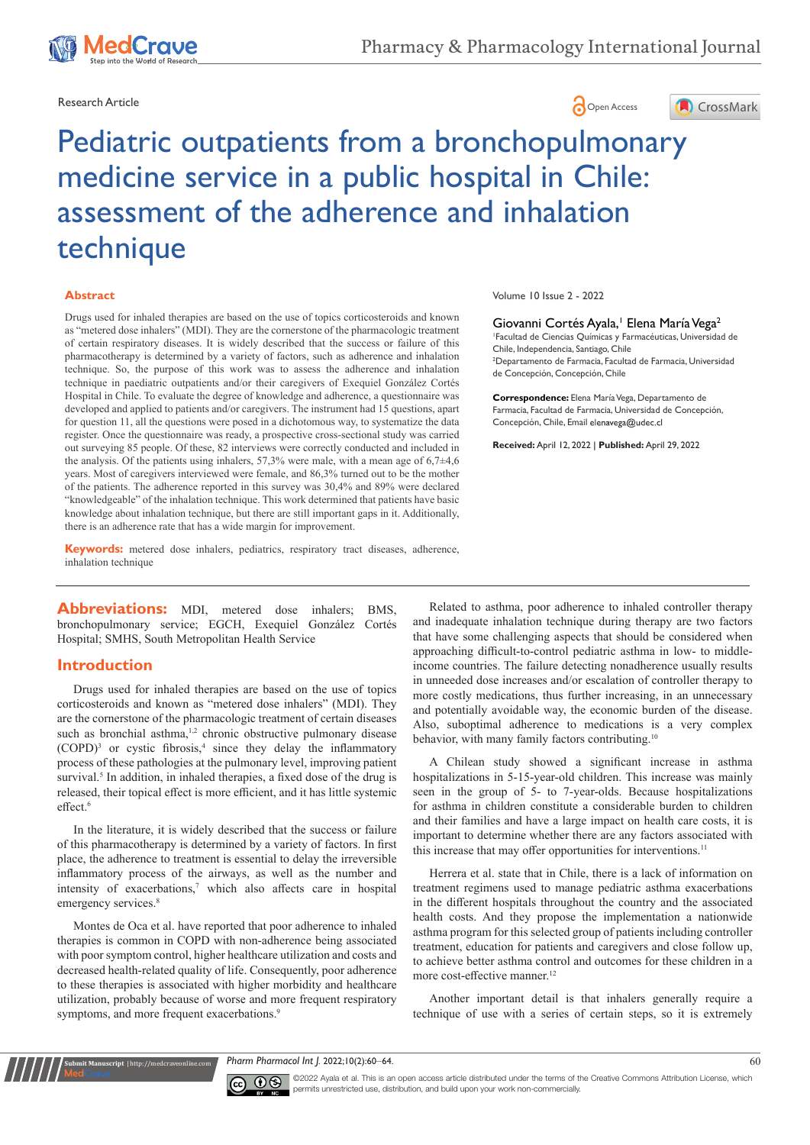





# Pediatric outpatients from a bronchopulmonary medicine service in a public hospital in Chile: assessment of the adherence and inhalation technique

#### **Abstract**

Drugs used for inhaled therapies are based on the use of topics corticosteroids and known as "metered dose inhalers" (MDI). They are the cornerstone of the pharmacologic treatment of certain respiratory diseases. It is widely described that the success or failure of this pharmacotherapy is determined by a variety of factors, such as adherence and inhalation technique. So, the purpose of this work was to assess the adherence and inhalation technique in paediatric outpatients and/or their caregivers of Exequiel González Cortés Hospital in Chile. To evaluate the degree of knowledge and adherence, a questionnaire was developed and applied to patients and/or caregivers. The instrument had 15 questions, apart for question 11, all the questions were posed in a dichotomous way, to systematize the data register. Once the questionnaire was ready, a prospective cross-sectional study was carried out surveying 85 people. Of these, 82 interviews were correctly conducted and included in the analysis. Of the patients using inhalers, 57,3% were male, with a mean age of 6,7±4,6 years. Most of caregivers interviewed were female, and 86,3% turned out to be the mother of the patients. The adherence reported in this survey was 30,4% and 89% were declared "knowledgeable" of the inhalation technique. This work determined that patients have basic knowledge about inhalation technique, but there are still important gaps in it. Additionally, there is an adherence rate that has a wide margin for improvement.

**Keywords:** metered dose inhalers, pediatrics, respiratory tract diseases, adherence, inhalation technique

Abbreviations: MDI, metered dose inhalers; BMS, bronchopulmonary service; EGCH, Exequiel González Cortés Hospital; SMHS, South Metropolitan Health Service

## **Introduction**

Drugs used for inhaled therapies are based on the use of topics corticosteroids and known as "metered dose inhalers" (MDI). They are the cornerstone of the pharmacologic treatment of certain diseases such as bronchial asthma,<sup>1,2</sup> chronic obstructive pulmonary disease  $(COPD)<sup>3</sup>$  or cystic fibrosis,<sup>4</sup> since they delay the inflammatory process of these pathologies at the pulmonary level, improving patient survival.<sup>5</sup> In addition, in inhaled therapies, a fixed dose of the drug is released, their topical effect is more efficient, and it has little systemic  $effect$ <sup>6</sup>

In the literature, it is widely described that the success or failure of this pharmacotherapy is determined by a variety of factors. In first place, the adherence to treatment is essential to delay the irreversible inflammatory process of the airways, as well as the number and intensity of exacerbations,<sup>7</sup> which also affects care in hospital emergency services.<sup>8</sup>

Montes de Oca et al. have reported that poor adherence to inhaled therapies is common in COPD with non-adherence being associated with poor symptom control, higher healthcare utilization and costs and decreased health-related quality of life. Consequently, poor adherence to these therapies is associated with higher morbidity and healthcare utilization, probably because of worse and more frequent respiratory symptoms, and more frequent exacerbations.<sup>9</sup>

**nit Manuscript** | http://medcraveonline.c

Volume 10 Issue 2 - 2022

Giovanni Cortés Ayala,<sup>1</sup> Elena María Vega<sup>2</sup>

1 Facultad de Ciencias Químicas y Farmacéuticas, Universidad de Chile, Independencia, Santiago, Chile 2 Departamento de Farmacia, Facultad de Farmacia, Universidad de Concepción, Concepción, Chile

**Correspondence:** Elena María Vega, Departamento de Farmacia, Facultad de Farmacia, Universidad de Concepción, Concepción, Chile, Email elenavega@udec.cl

**Received:** April 12, 2022 | **Published:** April 29, 2022

Related to asthma, poor adherence to inhaled controller therapy and inadequate inhalation technique during therapy are two factors that have some challenging aspects that should be considered when approaching difficult-to-control pediatric asthma in low- to middleincome countries. The failure detecting nonadherence usually results in unneeded dose increases and/or escalation of controller therapy to more costly medications, thus further increasing, in an unnecessary and potentially avoidable way, the economic burden of the disease. Also, suboptimal adherence to medications is a very complex behavior, with many family factors contributing.<sup>10</sup>

A Chilean study showed a significant increase in asthma hospitalizations in 5-15-year-old children. This increase was mainly seen in the group of 5- to 7-year-olds. Because hospitalizations for asthma in children constitute a considerable burden to children and their families and have a large impact on health care costs, it is important to determine whether there are any factors associated with this increase that may offer opportunities for interventions.<sup>11</sup>

Herrera et al. state that in Chile, there is a lack of information on treatment regimens used to manage pediatric asthma exacerbations in the different hospitals throughout the country and the associated health costs. And they propose the implementation a nationwide asthma program for this selected group of patients including controller treatment, education for patients and caregivers and close follow up, to achieve better asthma control and outcomes for these children in a more cost-effective manner.<sup>12</sup>

Another important detail is that inhalers generally require a technique of use with a series of certain steps, so it is extremely

*Pharm Pharmacol Int J.* 2022;10(2):60‒64. 60



©2022 Ayala et al. This is an open access article distributed under the terms of the Creative Commons Attribution License, which permits unrestricted use, distribution, and build upon your work non-commercially.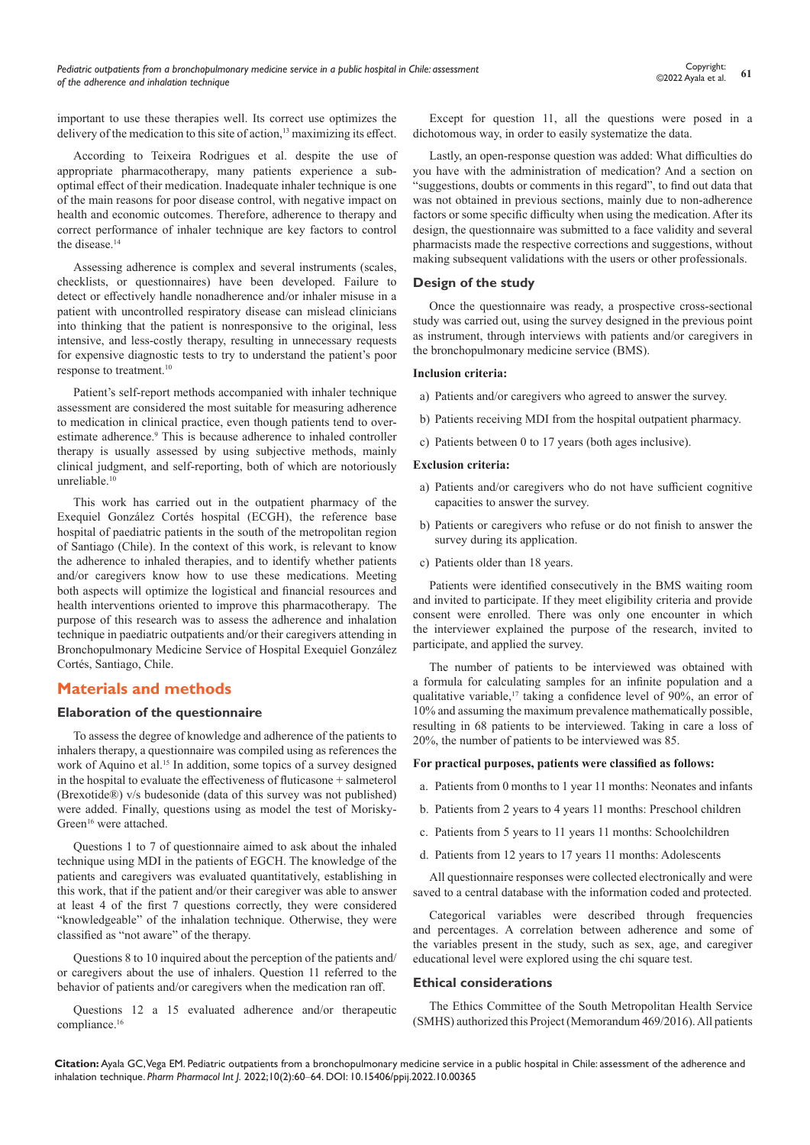important to use these therapies well. Its correct use optimizes the delivery of the medication to this site of action,<sup>13</sup> maximizing its effect.

According to Teixeira Rodrigues et al. despite the use of appropriate pharmacotherapy, many patients experience a suboptimal effect of their medication. Inadequate inhaler technique is one of the main reasons for poor disease control, with negative impact on health and economic outcomes. Therefore, adherence to therapy and correct performance of inhaler technique are key factors to control the disease.<sup>14</sup>

Assessing adherence is complex and several instruments (scales, checklists, or questionnaires) have been developed. Failure to detect or effectively handle nonadherence and/or inhaler misuse in a patient with uncontrolled respiratory disease can mislead clinicians into thinking that the patient is nonresponsive to the original, less intensive, and less-costly therapy, resulting in unnecessary requests for expensive diagnostic tests to try to understand the patient's poor response to treatment.10

Patient's self-report methods accompanied with inhaler technique assessment are considered the most suitable for measuring adherence to medication in clinical practice, even though patients tend to overestimate adherence.<sup>9</sup> This is because adherence to inhaled controller therapy is usually assessed by using subjective methods, mainly clinical judgment, and self-reporting, both of which are notoriously unreliable.<sup>10</sup>

This work has carried out in the outpatient pharmacy of the Exequiel González Cortés hospital (ECGH), the reference base hospital of paediatric patients in the south of the metropolitan region of Santiago (Chile). In the context of this work, is relevant to know the adherence to inhaled therapies, and to identify whether patients and/or caregivers know how to use these medications. Meeting both aspects will optimize the logistical and financial resources and health interventions oriented to improve this pharmacotherapy. The purpose of this research was to assess the adherence and inhalation technique in paediatric outpatients and/or their caregivers attending in Bronchopulmonary Medicine Service of Hospital Exequiel González Cortés, Santiago, Chile.

## **Materials and methods**

#### **Elaboration of the questionnaire**

To assess the degree of knowledge and adherence of the patients to inhalers therapy, a questionnaire was compiled using as references the work of Aquino et al.<sup>15</sup> In addition, some topics of a survey designed in the hospital to evaluate the effectiveness of fluticasone + salmeterol (Brexotide®) v/s budesonide (data of this survey was not published) were added. Finally, questions using as model the test of Morisky-Green<sup>16</sup> were attached.

Questions 1 to 7 of questionnaire aimed to ask about the inhaled technique using MDI in the patients of EGCH. The knowledge of the patients and caregivers was evaluated quantitatively, establishing in this work, that if the patient and/or their caregiver was able to answer at least 4 of the first 7 questions correctly, they were considered "knowledgeable" of the inhalation technique. Otherwise, they were classified as "not aware" of the therapy.

Questions 8 to 10 inquired about the perception of the patients and/ or caregivers about the use of inhalers. Question 11 referred to the behavior of patients and/or caregivers when the medication ran off.

Questions 12 a 15 evaluated adherence and/or therapeutic compliance.16

Except for question 11, all the questions were posed in a dichotomous way, in order to easily systematize the data.

Lastly, an open-response question was added: What difficulties do you have with the administration of medication? And a section on "suggestions, doubts or comments in this regard", to find out data that was not obtained in previous sections, mainly due to non-adherence factors or some specific difficulty when using the medication. After its design, the questionnaire was submitted to a face validity and several pharmacists made the respective corrections and suggestions, without making subsequent validations with the users or other professionals.

#### **Design of the study**

Once the questionnaire was ready, a prospective cross-sectional study was carried out, using the survey designed in the previous point as instrument, through interviews with patients and/or caregivers in the bronchopulmonary medicine service (BMS).

#### **Inclusion criteria:**

- a) Patients and/or caregivers who agreed to answer the survey.
- b) Patients receiving MDI from the hospital outpatient pharmacy.
- c) Patients between 0 to 17 years (both ages inclusive).

#### **Exclusion criteria:**

- a) Patients and/or caregivers who do not have sufficient cognitive capacities to answer the survey.
- b) Patients or caregivers who refuse or do not finish to answer the survey during its application.
- c) Patients older than 18 years.

Patients were identified consecutively in the BMS waiting room and invited to participate. If they meet eligibility criteria and provide consent were enrolled. There was only one encounter in which the interviewer explained the purpose of the research, invited to participate, and applied the survey.

The number of patients to be interviewed was obtained with a formula for calculating samples for an infinite population and a qualitative variable,<sup>17</sup> taking a confidence level of 90%, an error of 10% and assuming the maximum prevalence mathematically possible, resulting in 68 patients to be interviewed. Taking in care a loss of 20%, the number of patients to be interviewed was 85.

#### **For practical purposes, patients were classified as follows:**

- a. Patients from 0 months to 1 year 11 months: Neonates and infants
- b. Patients from 2 years to 4 years 11 months: Preschool children
- c. Patients from 5 years to 11 years 11 months: Schoolchildren
- d. Patients from 12 years to 17 years 11 months: Adolescents

All questionnaire responses were collected electronically and were saved to a central database with the information coded and protected.

Categorical variables were described through frequencies and percentages. A correlation between adherence and some of the variables present in the study, such as sex, age, and caregiver educational level were explored using the chi square test.

#### **Ethical considerations**

The Ethics Committee of the South Metropolitan Health Service (SMHS) authorized this Project (Memorandum 469/2016). All patients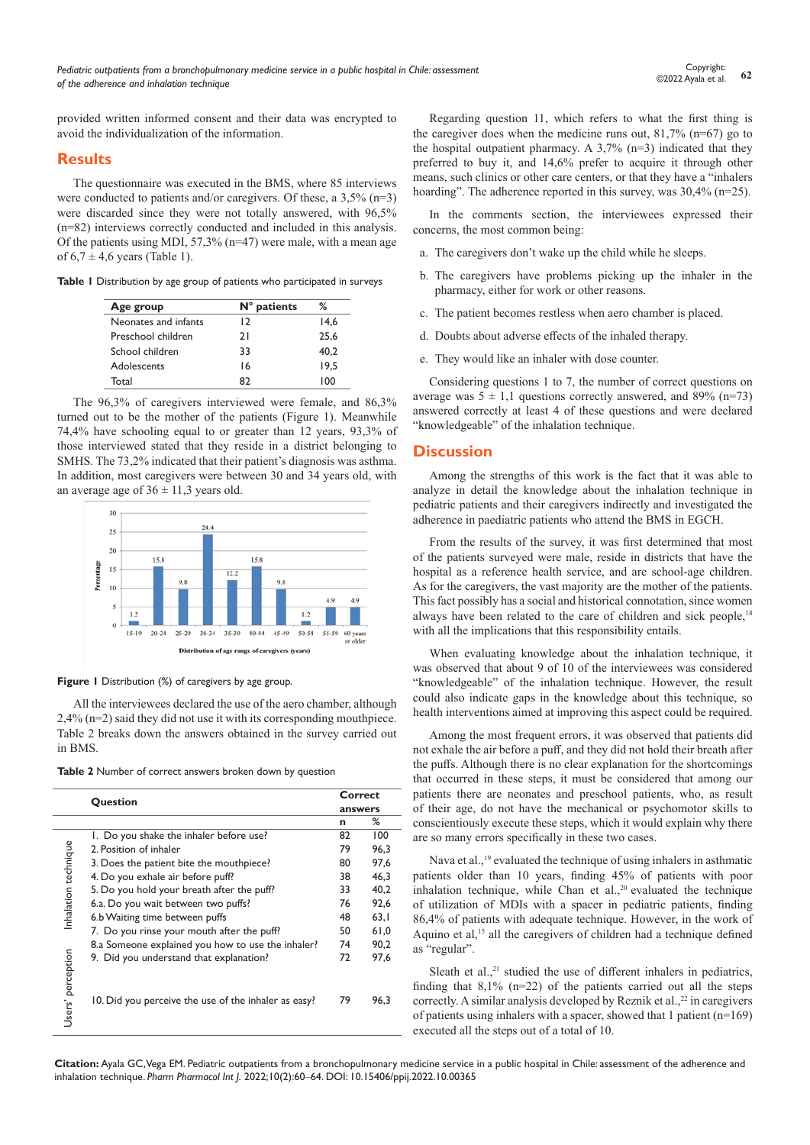provided written informed consent and their data was encrypted to avoid the individualization of the information.

## **Results**

The questionnaire was executed in the BMS, where 85 interviews were conducted to patients and/or caregivers. Of these, a 3,5% (n=3) were discarded since they were not totally answered, with 96,5% (n=82) interviews correctly conducted and included in this analysis. Of the patients using MDI, 57,3% (n=47) were male, with a mean age of  $6.7 \pm 4.6$  years (Table 1).

**Table 1** Distribution by age group of patients who participated in surveys

| Age group            | $N°$ patients | ℅    |
|----------------------|---------------|------|
| Neonates and infants | 12            | 14.6 |
| Preschool children   | 21            | 25.6 |
| School children      | 33            | 40.2 |
| Adolescents          | 16            | 19.5 |
| Total                | 87            | 100  |

The 96,3% of caregivers interviewed were female, and 86,3% turned out to be the mother of the patients (Figure 1). Meanwhile 74,4% have schooling equal to or greater than 12 years, 93,3% of those interviewed stated that they reside in a district belonging to SMHS. The 73,2% indicated that their patient's diagnosis was asthma. In addition, most caregivers were between 30 and 34 years old, with an average age of  $36 \pm 11,3$  years old.



**Figure 1** Distribution (%) of caregivers by age group.

All the interviewees declared the use of the aero chamber, although 2,4% (n=2) said they did not use it with its corresponding mouthpiece. Table 2 breaks down the answers obtained in the survey carried out in BMS.

| <b>Table 2</b> Number of correct answers broken down by question |  |  |  |  |  |  |  |  |  |  |
|------------------------------------------------------------------|--|--|--|--|--|--|--|--|--|--|
|------------------------------------------------------------------|--|--|--|--|--|--|--|--|--|--|

|                      | Question                                             | Correct<br>answers |      |  |
|----------------------|------------------------------------------------------|--------------------|------|--|
|                      |                                                      |                    |      |  |
|                      |                                                      | n                  | ℅    |  |
|                      | 1. Do you shake the inhaler before use?              | 82                 | 100  |  |
|                      | 2. Position of inhaler                               | 79                 | 96.3 |  |
|                      | 3. Does the patient bite the mouthpiece?             | 80                 | 97.6 |  |
|                      | 4. Do you exhale air before puff?                    | 38                 | 46.3 |  |
|                      | 5. Do you hold your breath after the puff?           | 33                 | 40,2 |  |
| Inhalation technique | 6.a. Do you wait between two puffs?                  | 76                 | 92.6 |  |
|                      | 6.b Waiting time between puffs                       | 48                 | 63.1 |  |
|                      | 7. Do you rinse your mouth after the puff?           | 50                 | 61,0 |  |
|                      | 8.a Someone explained you how to use the inhaler?    | 74                 | 90,2 |  |
|                      | 9. Did you understand that explanation?              | 72                 | 97.6 |  |
| Users' perception    | 10. Did you perceive the use of the inhaler as easy? | 79                 | 96.3 |  |

Regarding question 11, which refers to what the first thing is the caregiver does when the medicine runs out,  $81,7\%$  (n=67) go to the hospital outpatient pharmacy. A  $3,7\%$  (n=3) indicated that they preferred to buy it, and 14,6% prefer to acquire it through other means, such clinics or other care centers, or that they have a "inhalers hoarding". The adherence reported in this survey, was  $30,4\%$  (n=25).

In the comments section, the interviewees expressed their concerns, the most common being:

- a. The caregivers don't wake up the child while he sleeps.
- b. The caregivers have problems picking up the inhaler in the pharmacy, either for work or other reasons.
- c. The patient becomes restless when aero chamber is placed.
- d. Doubts about adverse effects of the inhaled therapy.
- e. They would like an inhaler with dose counter.

Considering questions 1 to 7, the number of correct questions on average was  $5 \pm 1,1$  questions correctly answered, and 89% (n=73) answered correctly at least 4 of these questions and were declared "knowledgeable" of the inhalation technique.

## **Discussion**

Among the strengths of this work is the fact that it was able to analyze in detail the knowledge about the inhalation technique in pediatric patients and their caregivers indirectly and investigated the adherence in paediatric patients who attend the BMS in EGCH.

From the results of the survey, it was first determined that most of the patients surveyed were male, reside in districts that have the hospital as a reference health service, and are school-age children. As for the caregivers, the vast majority are the mother of the patients. This fact possibly has a social and historical connotation, since women always have been related to the care of children and sick people,<sup>18</sup> with all the implications that this responsibility entails.

When evaluating knowledge about the inhalation technique, it was observed that about 9 of 10 of the interviewees was considered "knowledgeable" of the inhalation technique. However, the result could also indicate gaps in the knowledge about this technique, so health interventions aimed at improving this aspect could be required.

Among the most frequent errors, it was observed that patients did not exhale the air before a puff, and they did not hold their breath after the puffs. Although there is no clear explanation for the shortcomings that occurred in these steps, it must be considered that among our patients there are neonates and preschool patients, who, as result of their age, do not have the mechanical or psychomotor skills to conscientiously execute these steps, which it would explain why there are so many errors specifically in these two cases.

Nava et al.,<sup>19</sup> evaluated the technique of using inhalers in asthmatic patients older than 10 years, finding 45% of patients with poor inhalation technique, while Chan et al.,<sup>20</sup> evaluated the technique of utilization of MDIs with a spacer in pediatric patients, finding 86,4% of patients with adequate technique. However, in the work of Aquino et al,<sup>15</sup> all the caregivers of children had a technique defined as "regular".

Sleath et al., $21$  studied the use of different inhalers in pediatrics, finding that  $8,1\%$  (n=22) of the patients carried out all the steps correctly. A similar analysis developed by Reznik et al., $^{22}$  in caregivers of patients using inhalers with a spacer, showed that 1 patient (n=169) executed all the steps out of a total of 10.

**Citation:** Ayala GC, Vega EM. Pediatric outpatients from a bronchopulmonary medicine service in a public hospital in Chile: assessment of the adherence and inhalation technique. *Pharm Pharmacol Int J.* 2022;10(2):60‒64. DOI: [10.15406/ppij.2022.10.00365](https://doi.org/10.15406/ppij.2022.10.00365)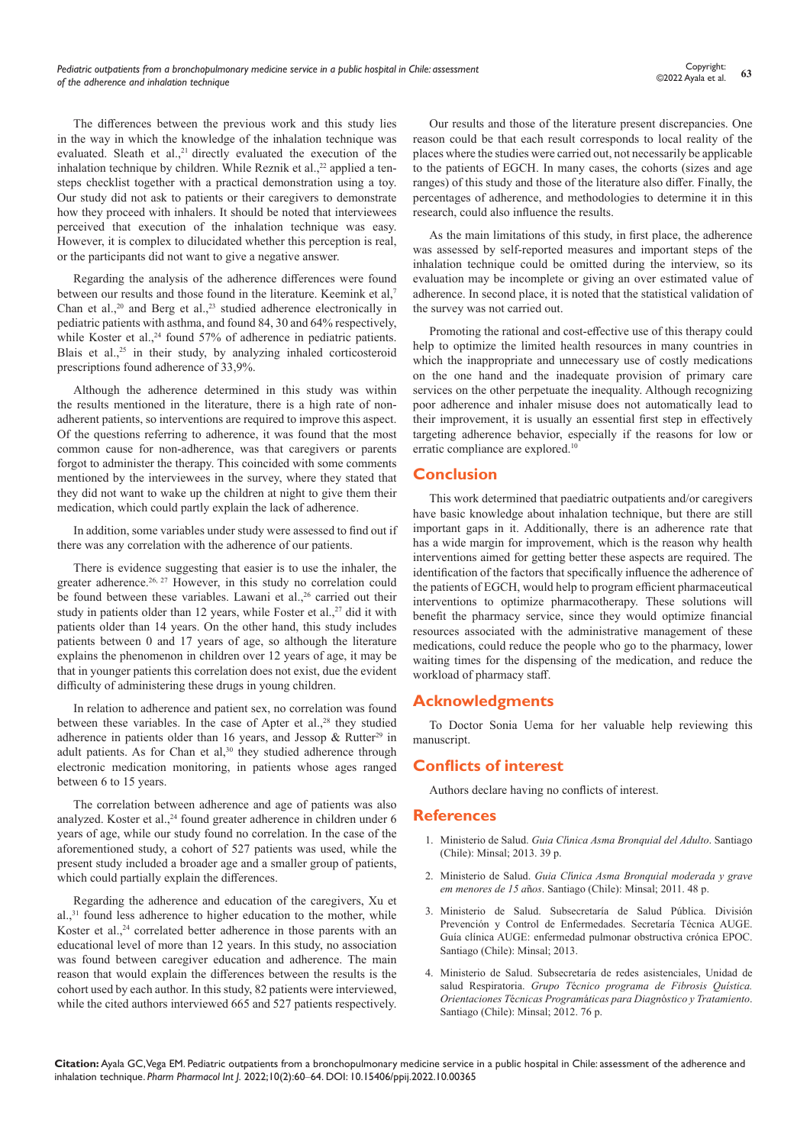The differences between the previous work and this study lies in the way in which the knowledge of the inhalation technique was evaluated. Sleath et al.,<sup>21</sup> directly evaluated the execution of the inhalation technique by children. While Reznik et al.,<sup>22</sup> applied a tensteps checklist together with a practical demonstration using a toy. Our study did not ask to patients or their caregivers to demonstrate how they proceed with inhalers. It should be noted that interviewees perceived that execution of the inhalation technique was easy. However, it is complex to dilucidated whether this perception is real, or the participants did not want to give a negative answer.

Regarding the analysis of the adherence differences were found between our results and those found in the literature. Keemink et al,<sup>7</sup> Chan et al.,<sup>20</sup> and Berg et al.,<sup>23</sup> studied adherence electronically in pediatric patients with asthma, and found 84, 30 and 64% respectively, while Koster et al.,<sup>24</sup> found 57% of adherence in pediatric patients. Blais et al.,<sup>25</sup> in their study, by analyzing inhaled corticosteroid prescriptions found adherence of 33,9%.

Although the adherence determined in this study was within the results mentioned in the literature, there is a high rate of nonadherent patients, so interventions are required to improve this aspect. Of the questions referring to adherence, it was found that the most common cause for non-adherence, was that caregivers or parents forgot to administer the therapy. This coincided with some comments mentioned by the interviewees in the survey, where they stated that they did not want to wake up the children at night to give them their medication, which could partly explain the lack of adherence.

In addition, some variables under study were assessed to find out if there was any correlation with the adherence of our patients.

There is evidence suggesting that easier is to use the inhaler, the greater adherence.<sup>26, 27</sup> However, in this study no correlation could be found between these variables. Lawani et al.,<sup>26</sup> carried out their study in patients older than 12 years, while Foster et al., $27$  did it with patients older than 14 years. On the other hand, this study includes patients between 0 and 17 years of age, so although the literature explains the phenomenon in children over 12 years of age, it may be that in younger patients this correlation does not exist, due the evident difficulty of administering these drugs in young children.

In relation to adherence and patient sex, no correlation was found between these variables. In the case of Apter et al.,<sup>28</sup> they studied adherence in patients older than 16 years, and Jessop & Rutter<sup>29</sup> in adult patients. As for Chan et al, $30$  they studied adherence through electronic medication monitoring, in patients whose ages ranged between 6 to 15 years.

The correlation between adherence and age of patients was also analyzed. Koster et al.,<sup>24</sup> found greater adherence in children under 6 years of age, while our study found no correlation. In the case of the aforementioned study, a cohort of 527 patients was used, while the present study included a broader age and a smaller group of patients, which could partially explain the differences.

Regarding the adherence and education of the caregivers, Xu et al.,31 found less adherence to higher education to the mother, while Koster et al.,<sup>24</sup> correlated better adherence in those parents with an educational level of more than 12 years. In this study, no association was found between caregiver education and adherence. The main reason that would explain the differences between the results is the cohort used by each author. In this study, 82 patients were interviewed, while the cited authors interviewed 665 and 527 patients respectively.

Our results and those of the literature present discrepancies. One reason could be that each result corresponds to local reality of the places where the studies were carried out, not necessarily be applicable to the patients of EGCH. In many cases, the cohorts (sizes and age ranges) of this study and those of the literature also differ. Finally, the percentages of adherence, and methodologies to determine it in this research, could also influence the results.

As the main limitations of this study, in first place, the adherence was assessed by self-reported measures and important steps of the inhalation technique could be omitted during the interview, so its evaluation may be incomplete or giving an over estimated value of adherence. In second place, it is noted that the statistical validation of the survey was not carried out.

Promoting the rational and cost-effective use of this therapy could help to optimize the limited health resources in many countries in which the inappropriate and unnecessary use of costly medications on the one hand and the inadequate provision of primary care services on the other perpetuate the inequality. Although recognizing poor adherence and inhaler misuse does not automatically lead to their improvement, it is usually an essential first step in effectively targeting adherence behavior, especially if the reasons for low or erratic compliance are explored.10

## **Conclusion**

This work determined that paediatric outpatients and/or caregivers have basic knowledge about inhalation technique, but there are still important gaps in it. Additionally, there is an adherence rate that has a wide margin for improvement, which is the reason why health interventions aimed for getting better these aspects are required. The identification of the factors that specifically influence the adherence of the patients of EGCH, would help to program efficient pharmaceutical interventions to optimize pharmacotherapy. These solutions will benefit the pharmacy service, since they would optimize financial resources associated with the administrative management of these medications, could reduce the people who go to the pharmacy, lower waiting times for the dispensing of the medication, and reduce the workload of pharmacy staff.

#### **Acknowledgments**

To Doctor Sonia Uema for her valuable help reviewing this manuscript.

### **Conflicts of interest**

Authors declare having no conflicts of interest.

#### **References**

- 1. Ministerio de Salud. *Guia Cl*í*[nica Asma Bronquial del Adulto](http://www.bibliotecaminsal.cl/wp/wp-content/uploads/2016/04/Asma-Bronquial-Adultos.pdf)*. Santiago [\(Chile\): Minsal; 2013. 39 p.](http://www.bibliotecaminsal.cl/wp/wp-content/uploads/2016/04/Asma-Bronquial-Adultos.pdf)
- 2. Ministerio de Salud. *Guia Cl*í*[nica Asma Bronquial moderada y grave](http://www.bibliotecaminsal.cl/wp/wp-content/uploads/2016/04/Asma-menores-de-15-a%C3%B1os.pdf)  em menores de 15 a*ñ*os*[. Santiago \(Chile\): Minsal; 2011. 48 p.](http://www.bibliotecaminsal.cl/wp/wp-content/uploads/2016/04/Asma-menores-de-15-a%C3%B1os.pdf)
- 3. [Ministerio de Salud. Subsecretaría de Salud Pública. División](http://www.repositoriodigital.minsal.cl/handle/2015/558)  [Prevención y Control de Enfermedades. Secretaría Técnica AUGE.](http://www.repositoriodigital.minsal.cl/handle/2015/558)  [Guía clínica AUGE: enfermedad pulmonar obstructiva crónica EPOC.](http://www.repositoriodigital.minsal.cl/handle/2015/558)  [Santiago \(Chile\): Minsal; 2013.](http://www.repositoriodigital.minsal.cl/handle/2015/558)
- 4. [Ministerio de Salud. Subsecretaría de redes asistenciales, Unidad de](https://respiratorio.minsal.cl/pdf/fibrosis/adulto/guia_clinica_fq_2012.pdf)  salud Respiratoria. *Grupo T*é*[cnico programa de Fibrosis Quística.](https://respiratorio.minsal.cl/pdf/fibrosis/adulto/guia_clinica_fq_2012.pdf)  Orientaciones T*é*cnicas Program*á*ticas para Diagn*ó*[stico y Tratamiento](https://respiratorio.minsal.cl/pdf/fibrosis/adulto/guia_clinica_fq_2012.pdf)*. [Santiago \(Chile\): Minsal; 2012. 76 p.](https://respiratorio.minsal.cl/pdf/fibrosis/adulto/guia_clinica_fq_2012.pdf)